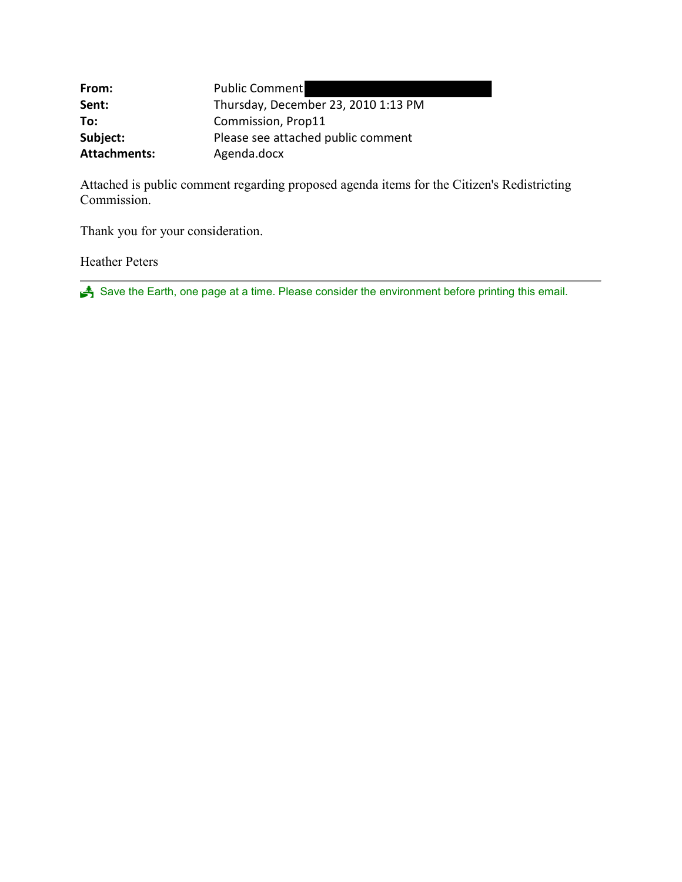| From:               | <b>Public Comment</b>               |
|---------------------|-------------------------------------|
| Sent:               | Thursday, December 23, 2010 1:13 PM |
| To:                 | Commission, Prop11                  |
| Subject:            | Please see attached public comment  |
| <b>Attachments:</b> | Agenda.docx                         |

Attached is public comment regarding proposed agenda items for the Citizen's Redistricting Commission.

Thank you for your consideration.

Heather Peters

Save the Earth, one page at a time. Please consider the environment before printing this email.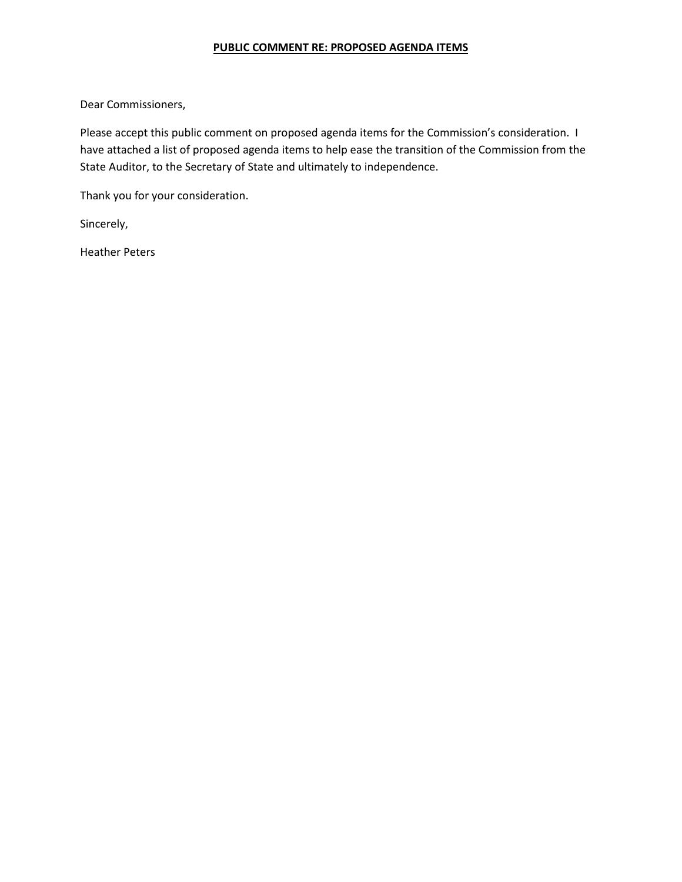## **PUBLIC COMMENT RE: PROPOSED AGENDA ITEMS**

Dear Commissioners,

Please accept this public comment on proposed agenda items for the Commission's consideration. I have attached a list of proposed agenda items to help ease the transition of the Commission from the State Auditor, to the Secretary of State and ultimately to independence.

Thank you for your consideration.

Sincerely,

Heather Peters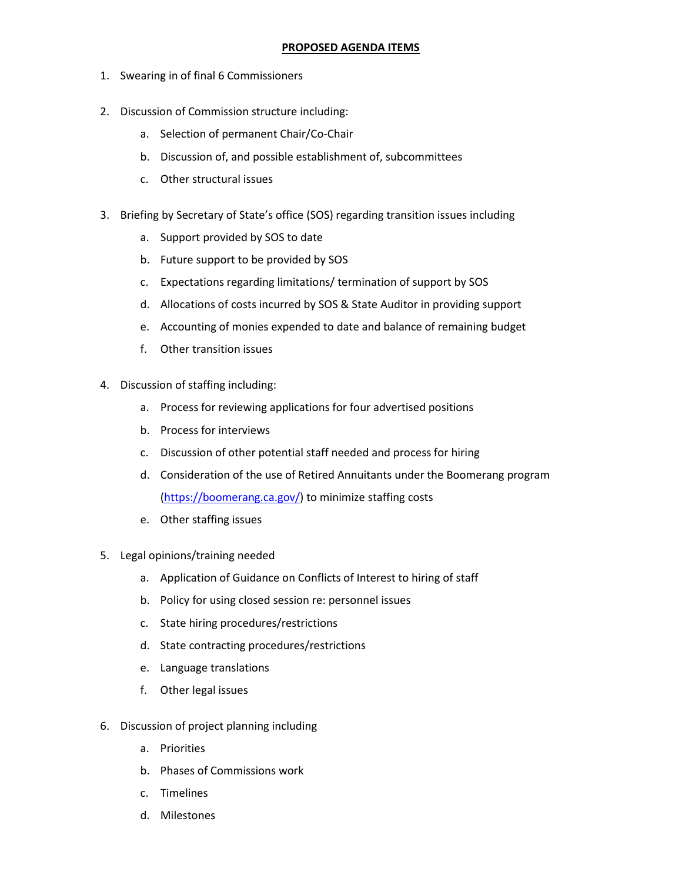## **PROPOSED AGENDA ITEMS**

- 1. Swearing in of final 6 Commissioners
- 2. Discussion of Commission structure including:
	- a. Selection of permanent Chair/Co-Chair
	- b. Discussion of, and possible establishment of, subcommittees
	- c. Other structural issues
- 3. Briefing by Secretary of State's office (SOS) regarding transition issues including
	- a. Support provided by SOS to date
	- b. Future support to be provided by SOS
	- c. Expectations regarding limitations/ termination of support by SOS
	- d. Allocations of costs incurred by SOS & State Auditor in providing support
	- e. Accounting of monies expended to date and balance of remaining budget
	- f. Other transition issues
- 4. Discussion of staffing including:
	- a. Process for reviewing applications for four advertised positions
	- b. Process for interviews
	- c. Discussion of other potential staff needed and process for hiring
	- d. Consideration of the use of Retired Annuitants under the Boomerang program [\(https://boomerang.ca.gov/\)](https://boomerang.ca.gov/) to minimize staffing costs
	- e. Other staffing issues
- 5. Legal opinions/training needed
	- a. Application of Guidance on Conflicts of Interest to hiring of staff
	- b. Policy for using closed session re: personnel issues
	- c. State hiring procedures/restrictions
	- d. State contracting procedures/restrictions
	- e. Language translations
	- f. Other legal issues
- 6. Discussion of project planning including
	- a. Priorities
	- b. Phases of Commissions work
	- c. Timelines
	- d. Milestones